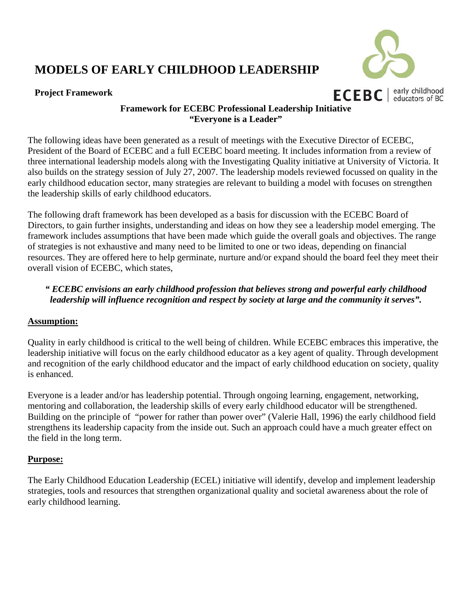### **Project Framework**



### **Framework for ECEBC Professional Leadership Initiative "Everyone is a Leader"**

The following ideas have been generated as a result of meetings with the Executive Director of ECEBC, President of the Board of ECEBC and a full ECEBC board meeting. It includes information from a review of three international leadership models along with the Investigating Quality initiative at University of Victoria. It also builds on the strategy session of July 27, 2007. The leadership models reviewed focussed on quality in the early childhood education sector, many strategies are relevant to building a model with focuses on strengthen the leadership skills of early childhood educators.

The following draft framework has been developed as a basis for discussion with the ECEBC Board of Directors, to gain further insights, understanding and ideas on how they see a leadership model emerging. The framework includes assumptions that have been made which guide the overall goals and objectives. The range of strategies is not exhaustive and many need to be limited to one or two ideas, depending on financial resources. They are offered here to help germinate, nurture and/or expand should the board feel they meet their overall vision of ECEBC, which states,

### *" ECEBC envisions an early childhood profession that believes strong and powerful early childhood leadership will influence recognition and respect by society at large and the community it serves".*

### **Assumption:**

Quality in early childhood is critical to the well being of children. While ECEBC embraces this imperative, the leadership initiative will focus on the early childhood educator as a key agent of quality. Through development and recognition of the early childhood educator and the impact of early childhood education on society, quality is enhanced.

Everyone is a leader and/or has leadership potential. Through ongoing learning, engagement, networking, mentoring and collaboration, the leadership skills of every early childhood educator will be strengthened. Building on the principle of "power for rather than power over" (Valerie Hall, 1996) the early childhood field strengthens its leadership capacity from the inside out. Such an approach could have a much greater effect on the field in the long term.

### **Purpose:**

The Early Childhood Education Leadership (ECEL) initiative will identify, develop and implement leadership strategies, tools and resources that strengthen organizational quality and societal awareness about the role of early childhood learning.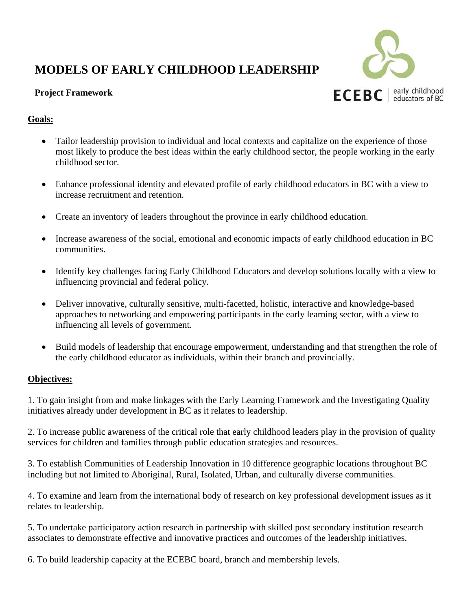

### **Project Framework**

### **Goals:**

- Tailor leadership provision to individual and local contexts and capitalize on the experience of those most likely to produce the best ideas within the early childhood sector, the people working in the early childhood sector.
- Enhance professional identity and elevated profile of early childhood educators in BC with a view to increase recruitment and retention.
- Create an inventory of leaders throughout the province in early childhood education.
- Increase awareness of the social, emotional and economic impacts of early childhood education in BC communities.
- Identify key challenges facing Early Childhood Educators and develop solutions locally with a view to influencing provincial and federal policy.
- Deliver innovative, culturally sensitive, multi-facetted, holistic, interactive and knowledge-based approaches to networking and empowering participants in the early learning sector, with a view to influencing all levels of government.
- Build models of leadership that encourage empowerment, understanding and that strengthen the role of the early childhood educator as individuals, within their branch and provincially.

### **Objectives:**

1. To gain insight from and make linkages with the Early Learning Framework and the Investigating Quality initiatives already under development in BC as it relates to leadership.

2. To increase public awareness of the critical role that early childhood leaders play in the provision of quality services for children and families through public education strategies and resources.

3. To establish Communities of Leadership Innovation in 10 difference geographic locations throughout BC including but not limited to Aboriginal, Rural, Isolated, Urban, and culturally diverse communities.

4. To examine and learn from the international body of research on key professional development issues as it relates to leadership.

5. To undertake participatory action research in partnership with skilled post secondary institution research associates to demonstrate effective and innovative practices and outcomes of the leadership initiatives.

6. To build leadership capacity at the ECEBC board, branch and membership levels.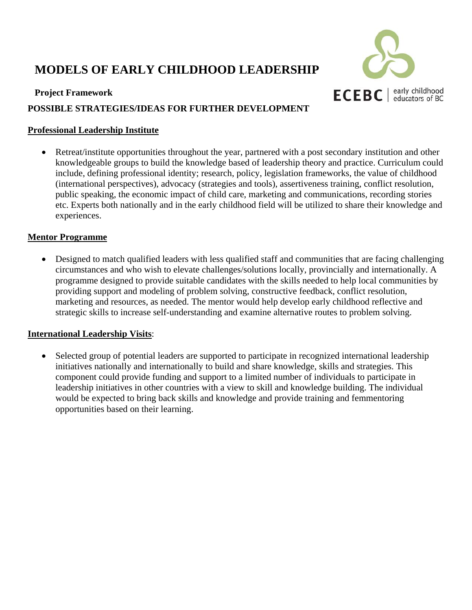



### **POSSIBLE STRATEGIES/IDEAS FOR FURTHER DEVELOPMENT**

### **Professional Leadership Institute**

• Retreat/institute opportunities throughout the year, partnered with a post secondary institution and other knowledgeable groups to build the knowledge based of leadership theory and practice. Curriculum could include, defining professional identity; research, policy, legislation frameworks, the value of childhood (international perspectives), advocacy (strategies and tools), assertiveness training, conflict resolution, public speaking, the economic impact of child care, marketing and communications, recording stories etc. Experts both nationally and in the early childhood field will be utilized to share their knowledge and experiences.

### **Mentor Programme**

• Designed to match qualified leaders with less qualified staff and communities that are facing challenging circumstances and who wish to elevate challenges/solutions locally, provincially and internationally. A programme designed to provide suitable candidates with the skills needed to help local communities by providing support and modeling of problem solving, constructive feedback, conflict resolution, marketing and resources, as needed. The mentor would help develop early childhood reflective and strategic skills to increase self-understanding and examine alternative routes to problem solving.

### **International Leadership Visits**:

Selected group of potential leaders are supported to participate in recognized international leadership initiatives nationally and internationally to build and share knowledge, skills and strategies. This component could provide funding and support to a limited number of individuals to participate in leadership initiatives in other countries with a view to skill and knowledge building. The individual would be expected to bring back skills and knowledge and provide training and femmentoring opportunities based on their learning.